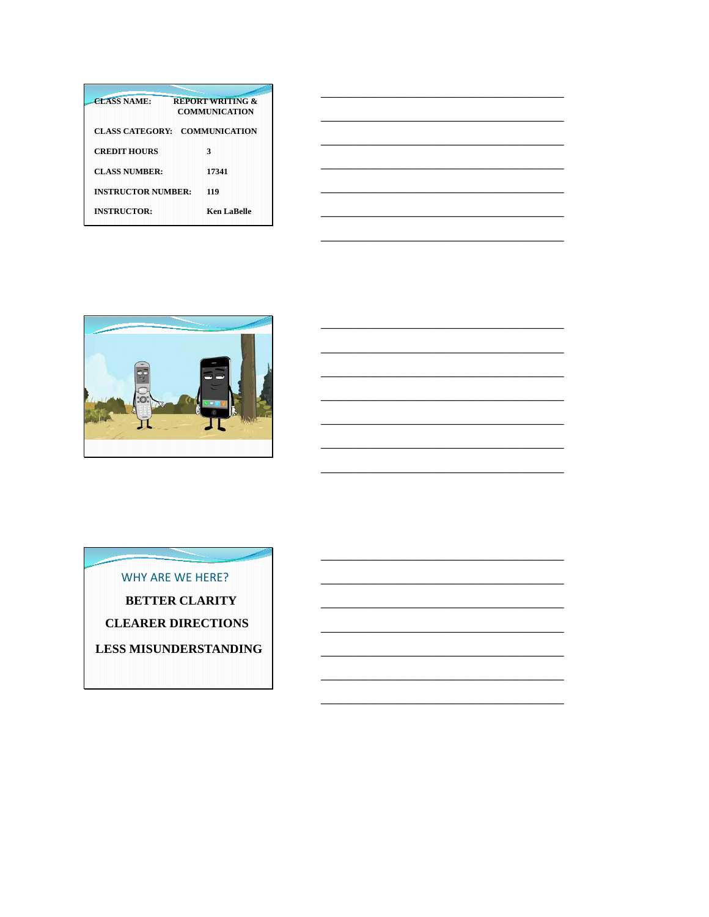| <b>CLASS NAME:</b>        | <b>REPORT WRITING &amp;</b><br>COMMUNICATION |
|---------------------------|----------------------------------------------|
| <b>CLASS CATEGORY:</b>    | <b>COMMUNICATION</b>                         |
| <b>CREDIT HOURS</b>       | 3                                            |
| CLASS NUMBER:             | 17341                                        |
| <b>INSTRUCTOR NUMBER:</b> | 119                                          |
| <b>INSTRUCTOR:</b>        | Ken LaBelle                                  |



WHY ARE WE HERE? **BETTER CLARITY CLEARER DIRECTIONS LESS MISUNDERSTANDING**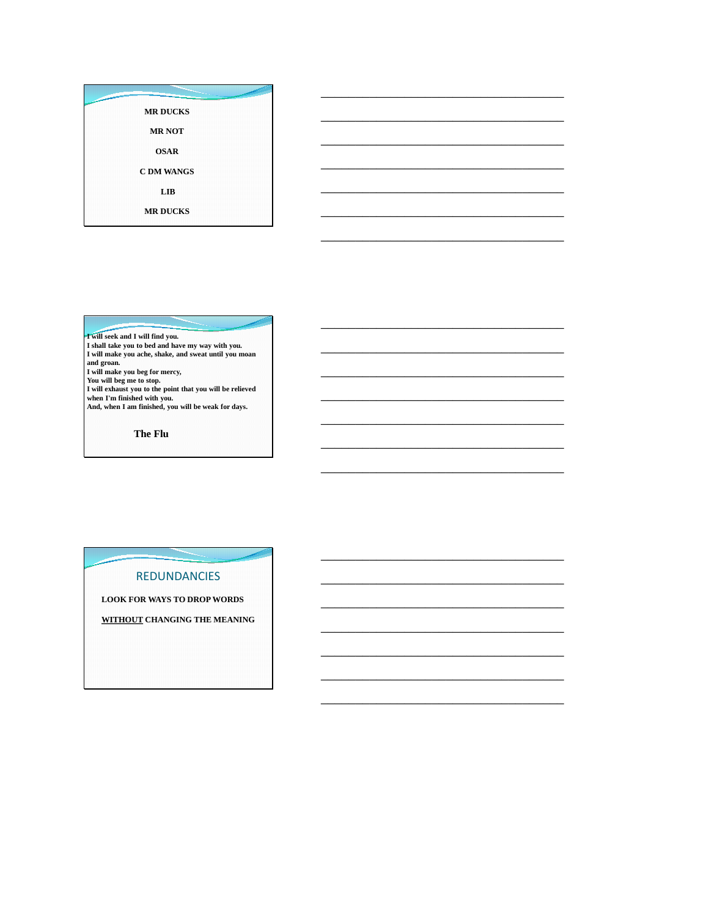| سي | <b>MR DUCKS</b>   |  |
|----|-------------------|--|
|    | <b>MR NOT</b>     |  |
|    | <b>OSAR</b>       |  |
|    | <b>C DM WANGS</b> |  |
|    | LIB               |  |
|    | <b>MR DUCKS</b>   |  |

\_\_\_\_\_\_\_\_\_\_\_\_\_\_\_\_\_\_\_\_\_\_\_\_\_\_\_\_\_\_\_\_\_\_\_

\_\_\_\_\_\_\_\_\_\_\_\_\_\_\_\_\_\_\_\_\_\_\_\_\_\_\_\_\_\_\_\_\_\_\_

\_\_\_\_\_\_\_\_\_\_\_\_\_\_\_\_\_\_\_\_\_\_\_\_\_\_\_\_\_\_\_\_\_\_\_

\_\_\_\_\_\_\_\_\_\_\_\_\_\_\_\_\_\_\_\_\_\_\_\_\_\_\_\_\_\_\_\_\_\_\_

\_\_\_\_\_\_\_\_\_\_\_\_\_\_\_\_\_\_\_\_\_\_\_\_\_\_\_\_\_\_\_\_\_\_\_

\_\_\_\_\_\_\_\_\_\_\_\_\_\_\_\_\_\_\_\_\_\_\_\_\_\_\_\_\_\_\_\_\_\_\_

\_\_\_\_\_\_\_\_\_\_\_\_\_\_\_\_\_\_\_\_\_\_\_\_\_\_\_\_\_\_\_\_\_\_\_

\_\_\_\_\_\_\_\_\_\_\_\_\_\_\_\_\_\_\_\_\_\_\_\_\_\_\_\_\_\_\_\_\_\_\_

\_\_\_\_\_\_\_\_\_\_\_\_\_\_\_\_\_\_\_\_\_\_\_\_\_\_\_\_\_\_\_\_\_\_\_

\_\_\_\_\_\_\_\_\_\_\_\_\_\_\_\_\_\_\_\_\_\_\_\_\_\_\_\_\_\_\_\_\_\_\_

\_\_\_\_\_\_\_\_\_\_\_\_\_\_\_\_\_\_\_\_\_\_\_\_\_\_\_\_\_\_\_\_\_\_\_

\_\_\_\_\_\_\_\_\_\_\_\_\_\_\_\_\_\_\_\_\_\_\_\_\_\_\_\_\_\_\_\_\_\_\_

\_\_\_\_\_\_\_\_\_\_\_\_\_\_\_\_\_\_\_\_\_\_\_\_\_\_\_\_\_\_\_\_\_\_\_

\_\_\_\_\_\_\_\_\_\_\_\_\_\_\_\_\_\_\_\_\_\_\_\_\_\_\_\_\_\_\_\_\_\_\_

\_\_\_\_\_\_\_\_\_\_\_\_\_\_\_\_\_\_\_\_\_\_\_\_\_\_\_\_\_\_\_\_\_\_\_

\_\_\_\_\_\_\_\_\_\_\_\_\_\_\_\_\_\_\_\_\_\_\_\_\_\_\_\_\_\_\_\_\_\_\_

\_\_\_\_\_\_\_\_\_\_\_\_\_\_\_\_\_\_\_\_\_\_\_\_\_\_\_\_\_\_\_\_\_\_\_

\_\_\_\_\_\_\_\_\_\_\_\_\_\_\_\_\_\_\_\_\_\_\_\_\_\_\_\_\_\_\_\_\_\_\_

\_\_\_\_\_\_\_\_\_\_\_\_\_\_\_\_\_\_\_\_\_\_\_\_\_\_\_\_\_\_\_\_\_\_\_

\_\_\_\_\_\_\_\_\_\_\_\_\_\_\_\_\_\_\_\_\_\_\_\_\_\_\_\_\_\_\_\_\_\_\_

\_\_\_\_\_\_\_\_\_\_\_\_\_\_\_\_\_\_\_\_\_\_\_\_\_\_\_\_\_\_\_\_\_\_\_

**I will seek and I will find you. I shall take you to bed and have my way with you. I will make you ache, shake, and sweat until you moan**  and groan.<br>I will make you beg for mercy,<br>You will beg me to stop.<br>I will exhaust you to the point that you will be relieved<br>when I'm finished with you.<br>And, when I am finished, you will be weak for days.

**The Flu**

#### REDUNDANCIES

**LOOK FOR WAYS TO DROP WORDS**

**WITHOUT CHANGING THE MEANING**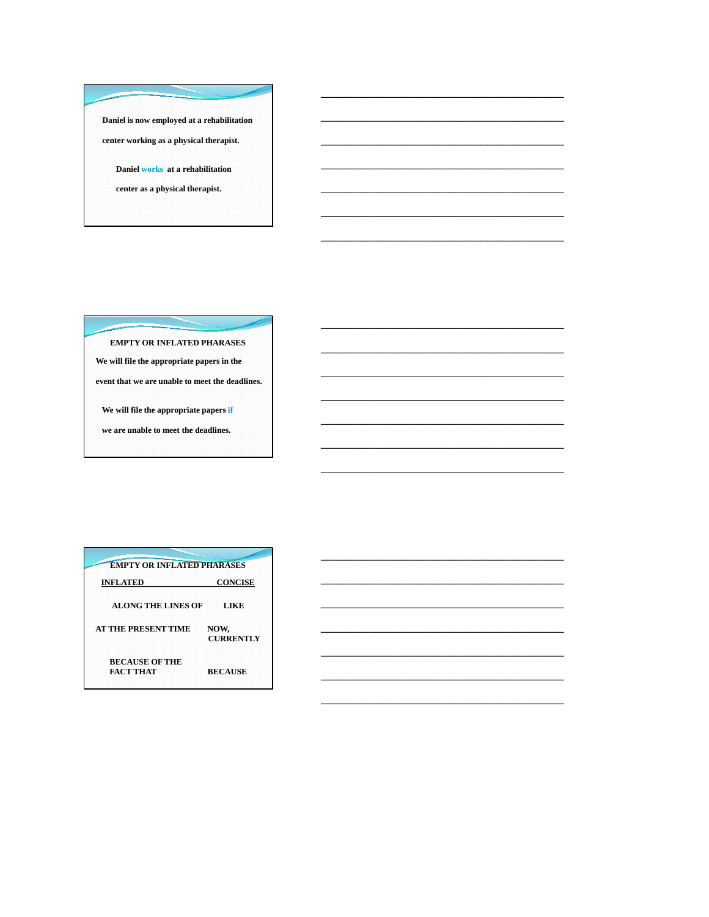**Daniel is now employed at a rehabilitation center working as a physical therapist.**

\_\_\_\_\_\_\_\_\_\_\_\_\_\_\_\_\_\_\_\_\_\_\_\_\_\_\_\_\_\_\_\_\_\_\_

\_\_\_\_\_\_\_\_\_\_\_\_\_\_\_\_\_\_\_\_\_\_\_\_\_\_\_\_\_\_\_\_\_\_\_

\_\_\_\_\_\_\_\_\_\_\_\_\_\_\_\_\_\_\_\_\_\_\_\_\_\_\_\_\_\_\_\_\_\_\_

\_\_\_\_\_\_\_\_\_\_\_\_\_\_\_\_\_\_\_\_\_\_\_\_\_\_\_\_\_\_\_\_\_\_\_

\_\_\_\_\_\_\_\_\_\_\_\_\_\_\_\_\_\_\_\_\_\_\_\_\_\_\_\_\_\_\_\_\_\_\_

\_\_\_\_\_\_\_\_\_\_\_\_\_\_\_\_\_\_\_\_\_\_\_\_\_\_\_\_\_\_\_\_\_\_\_

\_\_\_\_\_\_\_\_\_\_\_\_\_\_\_\_\_\_\_\_\_\_\_\_\_\_\_\_\_\_\_\_\_\_\_

\_\_\_\_\_\_\_\_\_\_\_\_\_\_\_\_\_\_\_\_\_\_\_\_\_\_\_\_\_\_\_\_\_\_\_

\_\_\_\_\_\_\_\_\_\_\_\_\_\_\_\_\_\_\_\_\_\_\_\_\_\_\_\_\_\_\_\_\_\_\_

\_\_\_\_\_\_\_\_\_\_\_\_\_\_\_\_\_\_\_\_\_\_\_\_\_\_\_\_\_\_\_\_\_\_\_

\_\_\_\_\_\_\_\_\_\_\_\_\_\_\_\_\_\_\_\_\_\_\_\_\_\_\_\_\_\_\_\_\_\_\_

\_\_\_\_\_\_\_\_\_\_\_\_\_\_\_\_\_\_\_\_\_\_\_\_\_\_\_\_\_\_\_\_\_\_\_

\_\_\_\_\_\_\_\_\_\_\_\_\_\_\_\_\_\_\_\_\_\_\_\_\_\_\_\_\_\_\_\_\_\_\_

\_\_\_\_\_\_\_\_\_\_\_\_\_\_\_\_\_\_\_\_\_\_\_\_\_\_\_\_\_\_\_\_\_\_\_

\_\_\_\_\_\_\_\_\_\_\_\_\_\_\_\_\_\_\_\_\_\_\_\_\_\_\_\_\_\_\_\_\_\_\_

\_\_\_\_\_\_\_\_\_\_\_\_\_\_\_\_\_\_\_\_\_\_\_\_\_\_\_\_\_\_\_\_\_\_\_

\_\_\_\_\_\_\_\_\_\_\_\_\_\_\_\_\_\_\_\_\_\_\_\_\_\_\_\_\_\_\_\_\_\_\_

\_\_\_\_\_\_\_\_\_\_\_\_\_\_\_\_\_\_\_\_\_\_\_\_\_\_\_\_\_\_\_\_\_\_\_

\_\_\_\_\_\_\_\_\_\_\_\_\_\_\_\_\_\_\_\_\_\_\_\_\_\_\_\_\_\_\_\_\_\_\_

\_\_\_\_\_\_\_\_\_\_\_\_\_\_\_\_\_\_\_\_\_\_\_\_\_\_\_\_\_\_\_\_\_\_\_

\_\_\_\_\_\_\_\_\_\_\_\_\_\_\_\_\_\_\_\_\_\_\_\_\_\_\_\_\_\_\_\_\_\_\_

**Daniel works at a rehabilitation** 

**center as a physical therapist.**

**EMPTY OR INFLATED PHARASES**

**We will file the appropriate papers in the** 

**event that we are unable to meet the deadlines.**

**We will file the appropriate papers if**

**we are unable to meet the deadlines.**

| <b>EMPTY OR INFLATED PHARASES</b>  |                          |  |  |
|------------------------------------|--------------------------|--|--|
| <b>INFLATED</b>                    | <b>CONCISE</b>           |  |  |
| <b>ALONG THE LINES OF</b>          | LIKE                     |  |  |
| <b>AT THE PRESENT TIME</b>         | NOW,<br><b>CURRENTLY</b> |  |  |
| <b>BECAUSE OF THE</b><br>FACT THAT | <b>BECAUSE</b>           |  |  |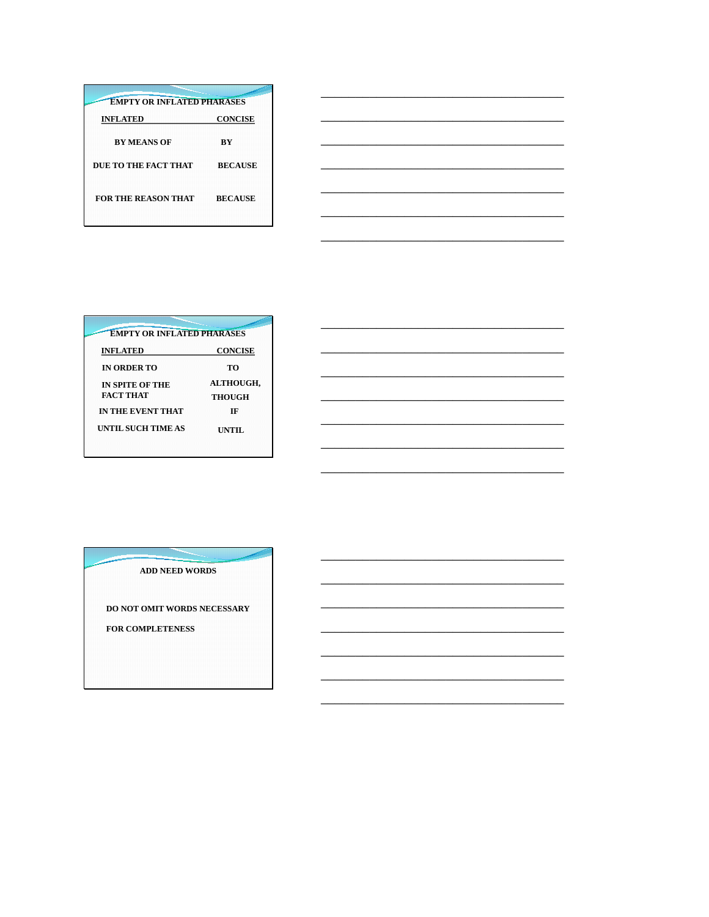| <b>EMPTY OR INFLATED PHARASES</b> |                |  |
|-----------------------------------|----------------|--|
| <b>INFLATED</b>                   | <b>CONCISE</b> |  |
| <b>BY MEANS OF</b>                | ВY             |  |
| DUE TO THE FACT THAT              | <b>BECAUSE</b> |  |
| <b>FOR THE REASON THAT</b>        | <b>BECAUSE</b> |  |

| <b>EMPTY OR INFLATED PHARASES</b> |                  |
|-----------------------------------|------------------|
| <b>INFLATED</b>                   | <b>CONCISE</b>   |
| <b>IN ORDER TO</b>                | TO               |
| <b>IN SPITE OF THE</b>            | <b>ALTHOUGH,</b> |
| <b>FACT THAT</b>                  | <b>THOUGH</b>    |
| IN THE EVENT THAT                 | TF               |
| UNTIL SUCH TIME AS                | UNTIL            |

**ADD NEED WORDS** 

DO NOT OMIT WORDS NECESSARY FOR COMPLETENESS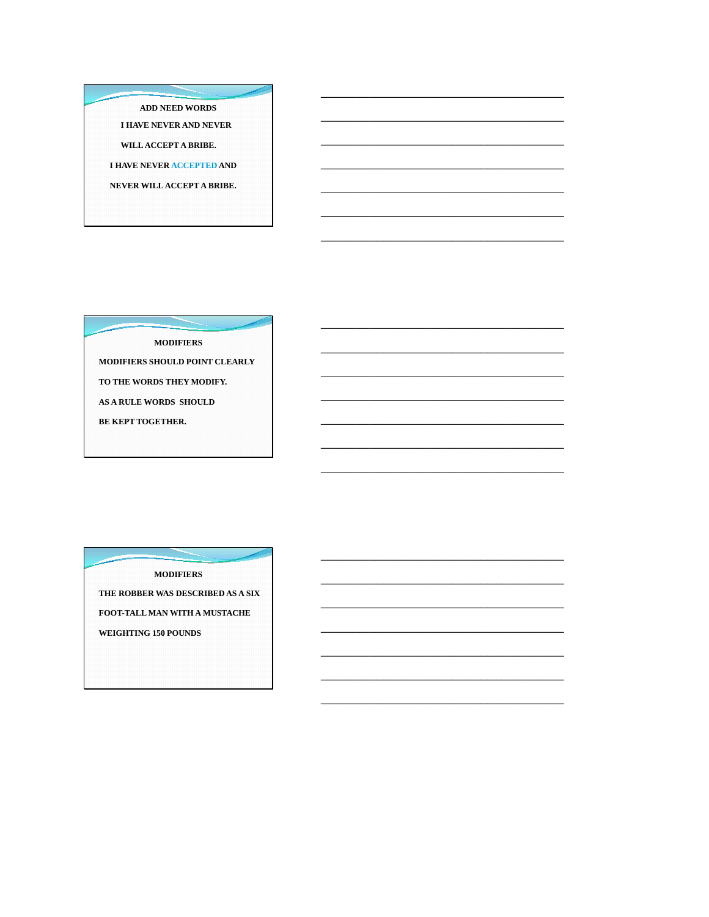#### ADD NEED WORDS

**I HAVE NEVER AND NEVER** 

WILL ACCEPT A BRIBE.

**I HAVE NEVER ACCEPTED AND** 

NEVER WILL ACCEPT A BRIBE.

**MODIFIERS** 

MODIFIERS SHOULD POINT CLEARLY

TO THE WORDS THEY MODIFY.

AS A RULE WORDS SHOULD

BE KEPT TOGETHER.

**MODIFIERS** THE ROBBER WAS DESCRIBED AS A SIX

FOOT-TALL MAN WITH A MUSTACHE

WEIGHTING 150 POUNDS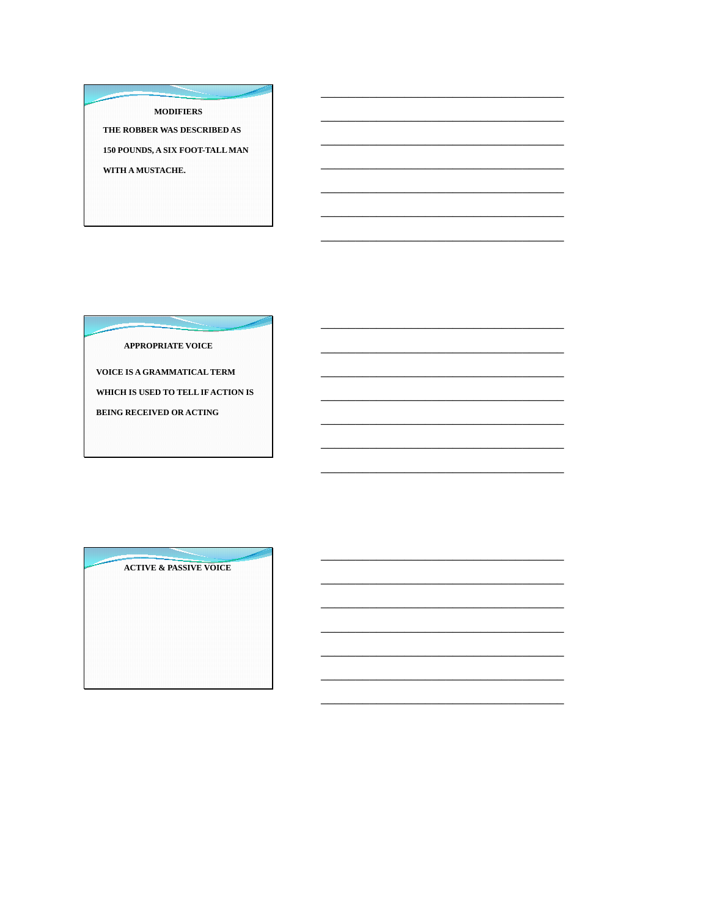#### **MODIFIERS**

THE ROBBER WAS DESCRIBED AS 150 POUNDS, A SIX FOOT-TALL MAN WITH A MUSTACHE.

**APPROPRIATE VOICE** 

VOICE IS A GRAMMATICAL TERM WHICH IS USED TO TELL IF ACTION IS **BEING RECEIVED OR ACTING** 

**ACTIVE & PASSIVE VOICE**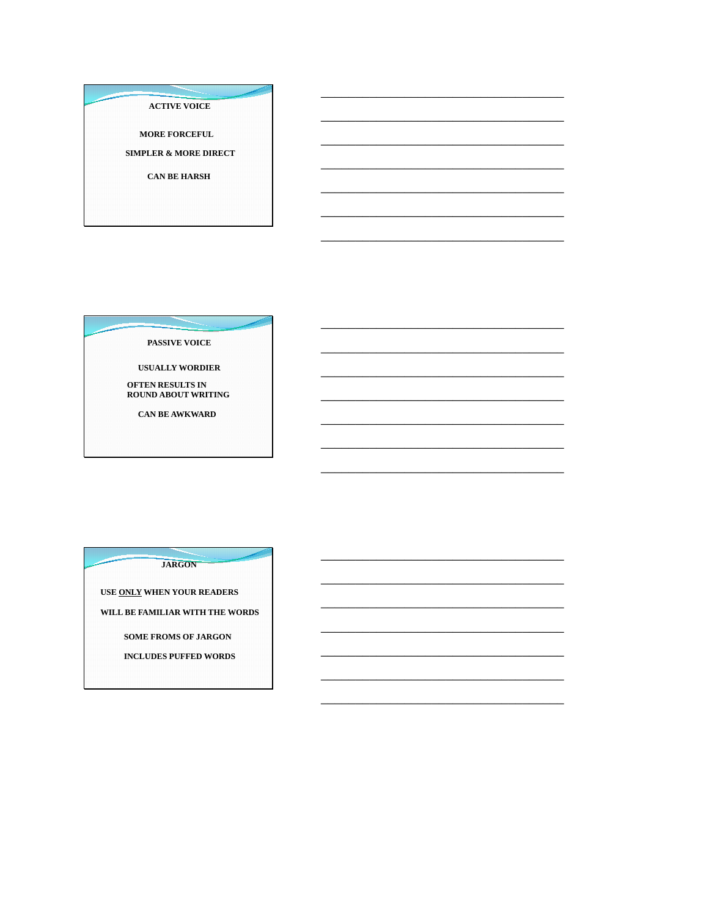**ACTIVE VOICE** 

**MORE FORCEFUL** 

**SIMPLER & MORE DIRECT** 

**CAN BE HARSH** 

PASSIVE VOICE

**USUALLY WORDIER** 

**OFTEN RESULTS IN<br>ROUND ABOUT WRITING** 

**CAN BE AWKWARD** 

**JARGON** 

USE ONLY WHEN YOUR READERS

WILL BE FAMILIAR WITH THE WORDS

SOME FROMS OF JARGON

**INCLUDES PUFFED WORDS**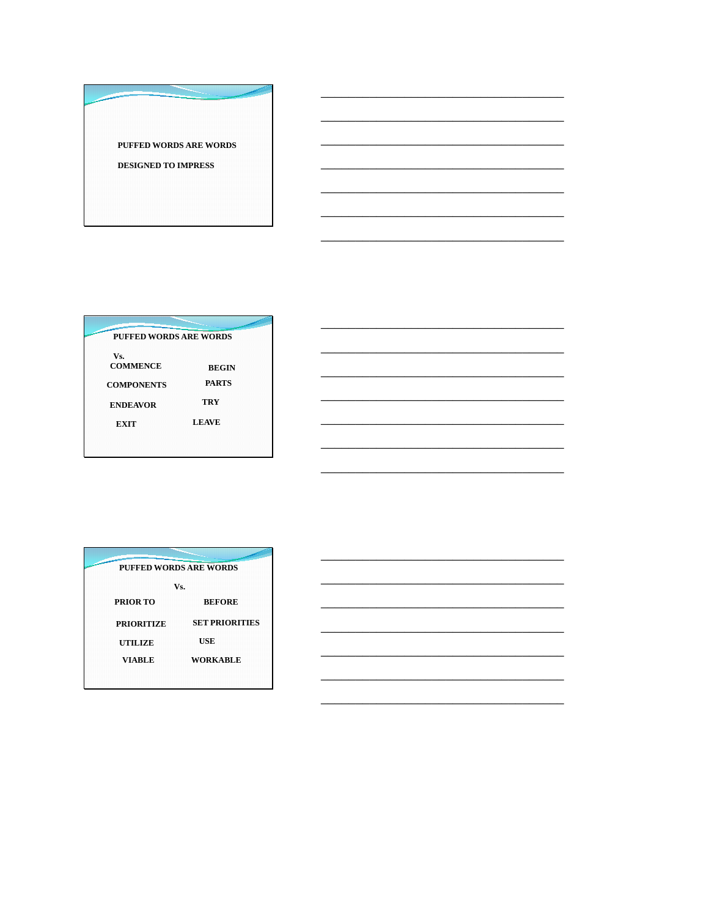PUFFED WORDS ARE WORDS

DESIGNED TO IMPRESS

| <b>PUFFED WORDS ARE WORDS</b> |              |
|-------------------------------|--------------|
| Vs.<br><b>COMMENCE</b>        | <b>BEGIN</b> |
| <b>COMPONENTS</b>             | <b>PARTS</b> |
| <b>ENDEAVOR</b>               | TRY          |
| EXIT                          | <b>LEAVE</b> |

| <b>PUFFED WORDS ARE WORDS</b> |                       |  |
|-------------------------------|-----------------------|--|
|                               | Vs.                   |  |
| <b>PRIOR TO</b>               | <b>BEFORE</b>         |  |
| <b>PRIORITIZE</b>             | <b>SET PRIORITIES</b> |  |
| <b>UTILIZE</b>                | USE                   |  |
| <b>VIABLE</b>                 | <b>WORKABLE</b>       |  |
|                               |                       |  |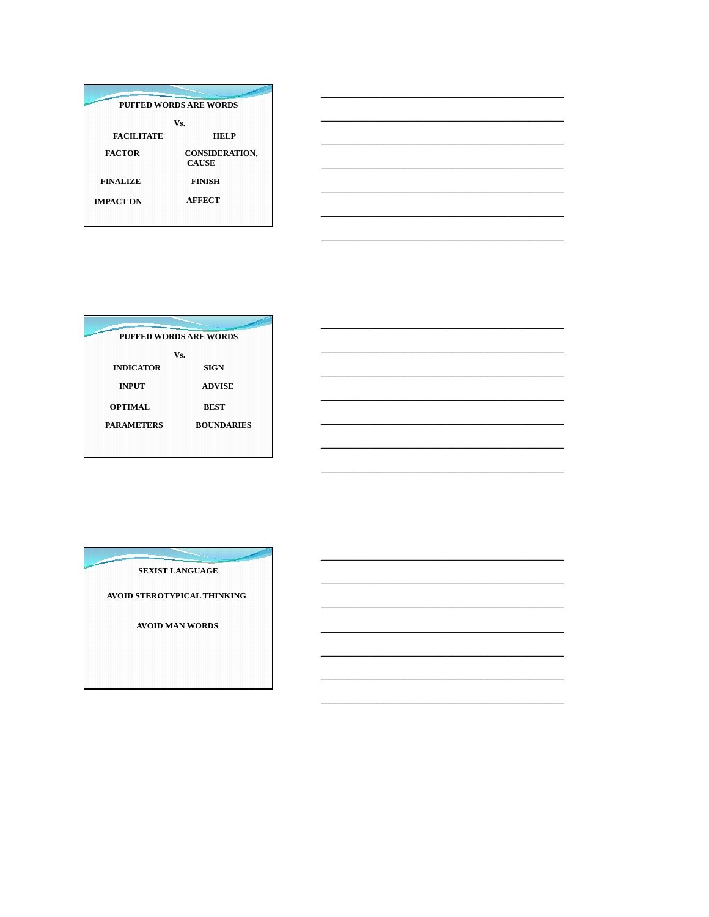| PUFFED WORDS ARE WORDS |                                       |  |
|------------------------|---------------------------------------|--|
|                        | Vs.                                   |  |
| <b>FACILITATE</b>      | <b>HELP</b>                           |  |
| <b>FACTOR</b>          | <b>CONSIDERATION,</b><br><b>CAUSE</b> |  |
| <b>FINALIZE</b>        | <b>FINISH</b>                         |  |
| <b>IMPACT ON</b>       | <b>AFFECT</b>                         |  |

| PUFFED WORDS ARE WORDS |                   |  |
|------------------------|-------------------|--|
|                        | Vs.               |  |
| <b>INDICATOR</b>       | <b>SIGN</b>       |  |
| <b>INPUT</b>           | <b>ADVISE</b>     |  |
| <b>OPTIMAL</b>         | <b>BEST</b>       |  |
| <b>PARAMETERS</b>      | <b>BOUNDARIES</b> |  |
|                        |                   |  |

 $\overline{\phantom{0}}$ 

SEXIST LANGUAGE

AVOID STEROTYPICAL THINKING

AVOID MAN WORDS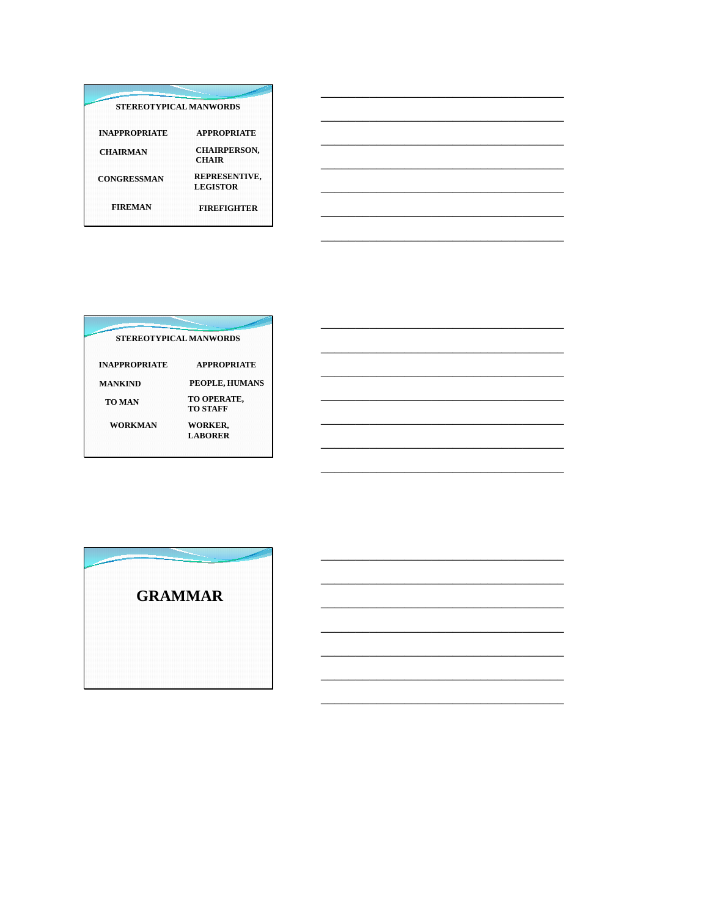| <b>STEREOTYPICAL MANWORDS</b> |                                     |  |
|-------------------------------|-------------------------------------|--|
| <b>INAPPROPRIATE</b>          | <b>APPROPRIATE</b>                  |  |
| <b>CHAIRMAN</b>               | <b>CHAIRPERSON,</b><br><b>CHAIR</b> |  |
| <b>CONGRESSMAN</b>            | REPRESENTIVE,<br><b>LEGISTOR</b>    |  |
| <b>FIREMAN</b>                | <b>FIREFIGHTER</b>                  |  |

| <b>STEREOTYPICAL MANWORDS</b> |                                  |  |
|-------------------------------|----------------------------------|--|
| <b>INAPPROPRIATE</b>          | <b>APPROPRIATE</b>               |  |
| <b>MANKIND</b>                | PEOPLE, HUMANS                   |  |
| <b>TO MAN</b>                 | TO OPERATE,<br><b>TO STAFF</b>   |  |
| <b>WORKMAN</b>                | <b>WORKER,</b><br><b>LABORER</b> |  |

<u> 1989 - Johann Stein, marwolaethau a bhannaich an t-Albann an t-Albann an t-Albann an t-Albann an t-Albann an </u>

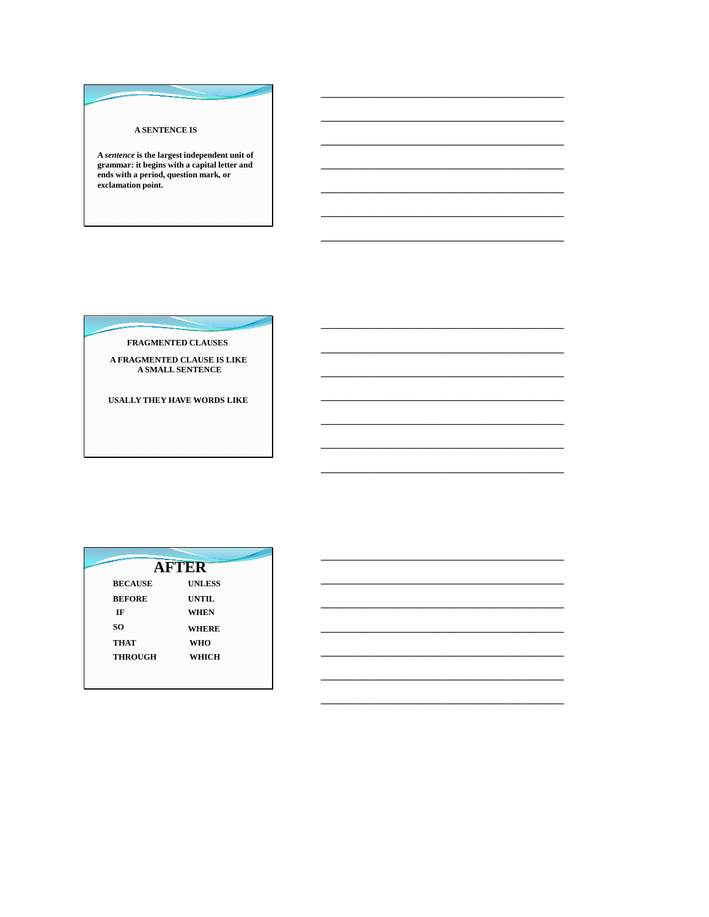A SENTENCE IS

 $\label{def:1} \emph{A sentence is the largest independent unit of grammar: it begins with a capital letter and}$ ends with a period, question mark, or<br>exclamation point.

FRAGMENTED CLAUSES

A FRAGMENTED CLAUSE IS LIKE<br>A SMALL SENTENCE

USALLY THEY HAVE WORDS LIKE

|                | <b>AFTER</b>  |  |
|----------------|---------------|--|
| <b>BECAUSE</b> | <b>UNLESS</b> |  |
| <b>BEFORE</b>  | <b>UNTIL</b>  |  |
| IF             | <b>WHEN</b>   |  |
| SO.            | <b>WHERE</b>  |  |
| <b>THAT</b>    | <b>WHO</b>    |  |
| <b>THROUGH</b> | WHICH         |  |
|                |               |  |
|                |               |  |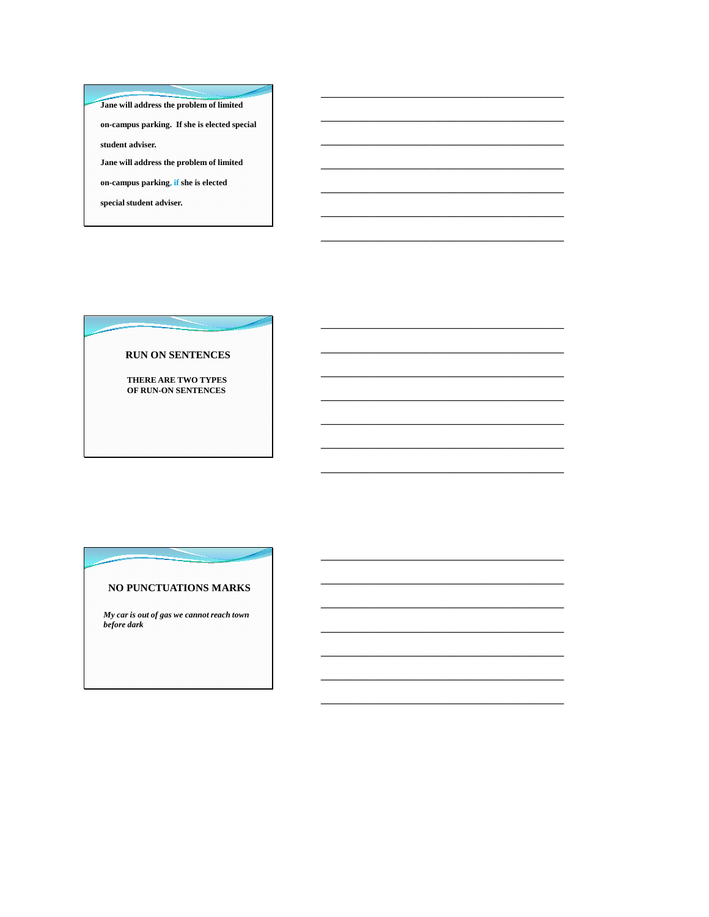Jane will address the problem of limited on-campus parking. If she is elected special student adviser. Jane will address the problem of limited on-campus parking, if she is elected special student adviser.

#### **RUN ON SENTENCES**

THERE ARE TWO TYPES OF RUN-ON SENTENCES

### NO PUNCTUATIONS MARKS

My car is out of gas we cannot reach town before dark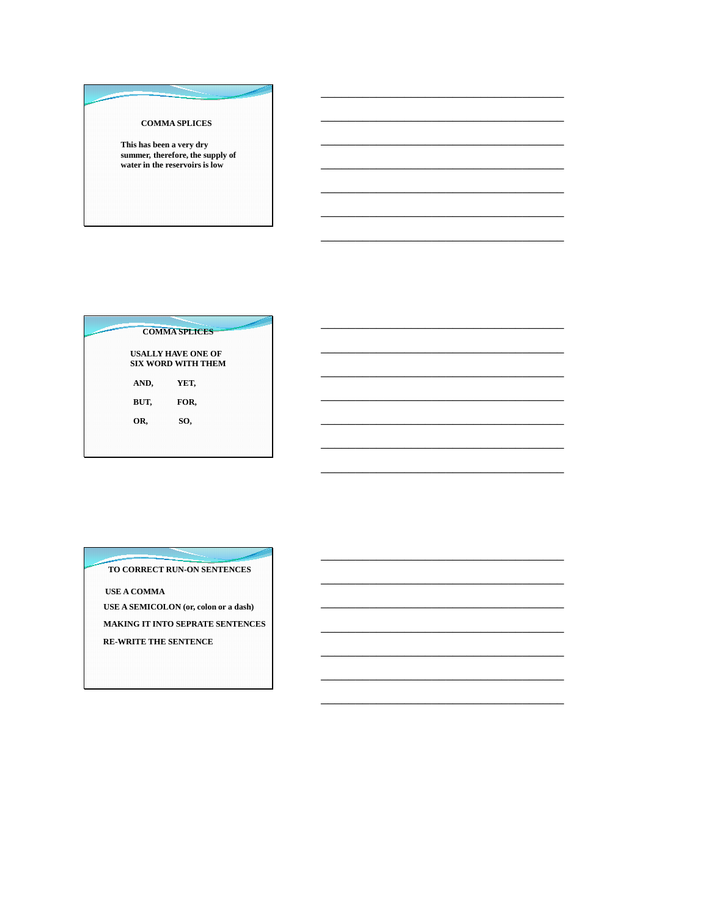**COMMA SPLICES** 

This has been a very dry summer, therefore, the supply of<br>water in the reservoirs is low

|      | <b>COMMA SPLICES</b>                                   |  |
|------|--------------------------------------------------------|--|
|      | <b>USALLY HAVE ONE OF</b><br><b>SIX WORD WITH THEM</b> |  |
| AND, | YET,                                                   |  |
| BUT, | FOR,                                                   |  |
| OR,  | SO,                                                    |  |
|      |                                                        |  |
|      |                                                        |  |

TO CORRECT RUN-ON SENTENCES

**USE A COMMA** 

USE A SEMICOLON (or, colon or a dash) MAKING IT INTO SEPRATE SENTENCES RE-WRITE THE SENTENCE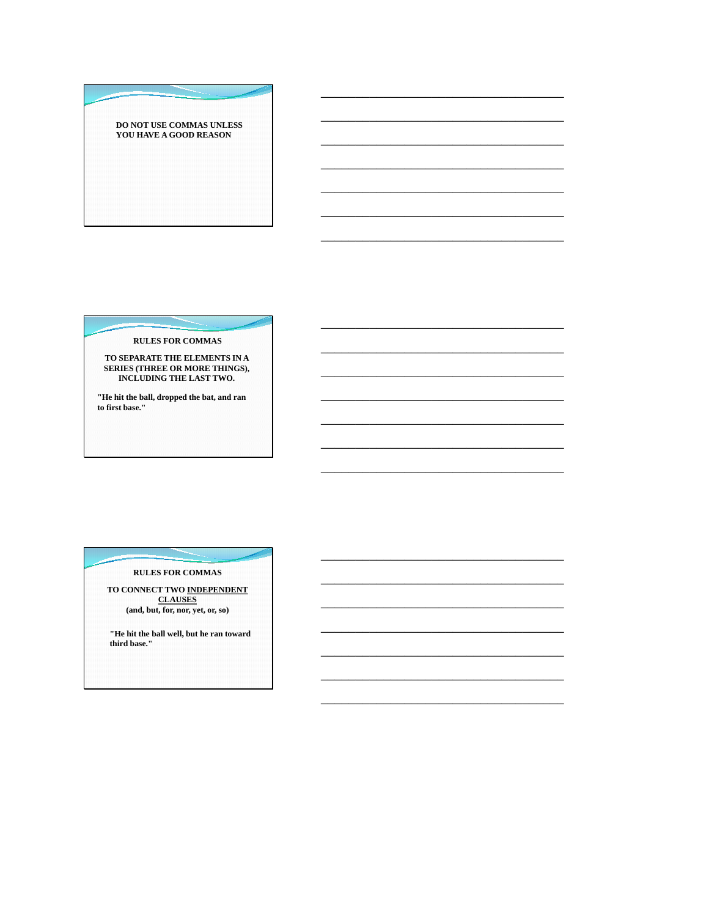DO NOT USE COMMAS UNLESS YOU HAVE A GOOD REASON

**RULES FOR COMMAS** 

TO SEPARATE THE ELEMENTS IN A<br>SERIES (THREE OR MORE THINGS),<br>INCLUDING THE LAST TWO.

"He hit the ball, dropped the bat, and ran to first base."

#### **RULES FOR COMMAS**

TO CONNECT TWO INDEPENDENT **CLAUSES**  $({\rm and,\,but,\,for,\,nor,\,yet,\,or,\,so})$ 

"He hit the ball well, but he ran toward<br>third base."<br>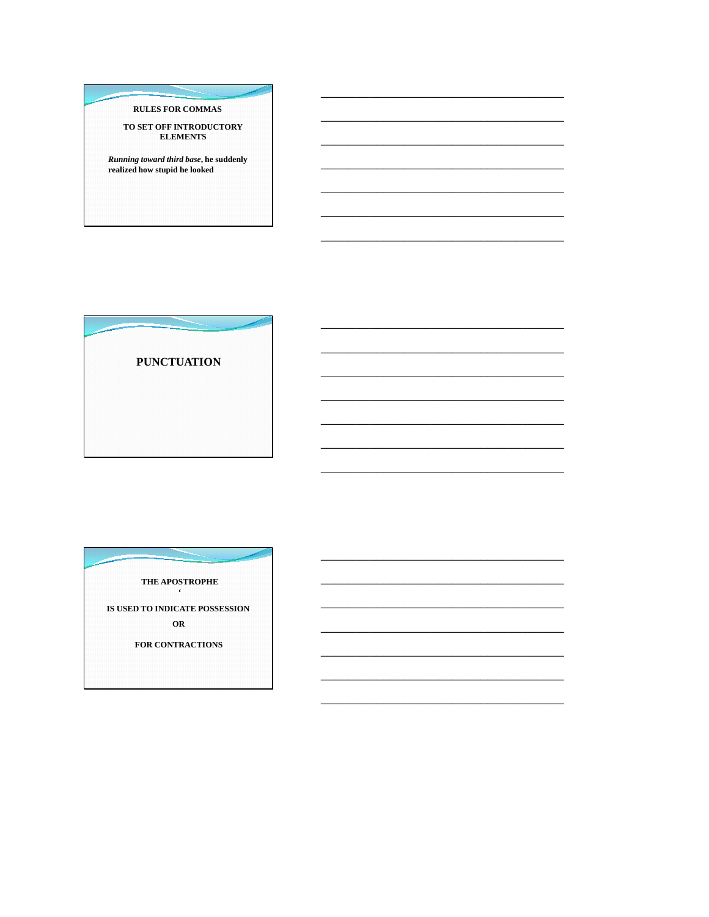## **RULES FOR COMMAS**

TO SET OFF INTRODUCTORY<br>ELEMENTS

**Running toward third base, he suddenly<br>realized how stupid he looked** 

**PUNCTUATION** 

THE APOSTROPHE IS USED TO INDICATE POSSESSION  $OR$ FOR CONTRACTIONS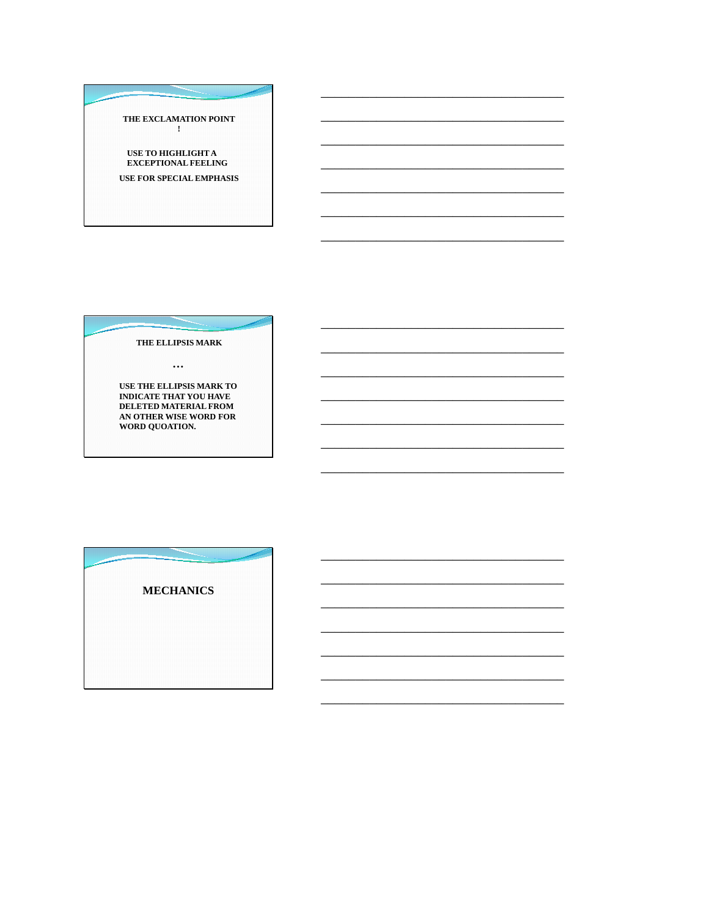THE EXCLAMATION POINT  $\mathbf{I}$ 

USE TO HIGHLIGHT A **EXCEPTIONAL FEELING** 

USE FOR SPECIAL EMPHASIS

THE ELLIPSIS MARK

 $\ddotsc$ 

USE THE ELLIPSIS MARK TO<br>INDICATE THAT YOU HAVE DELETED MATERIAL FROM AN OTHER WISE WORD FOR<br>WORD QUOATION.

**MECHANICS**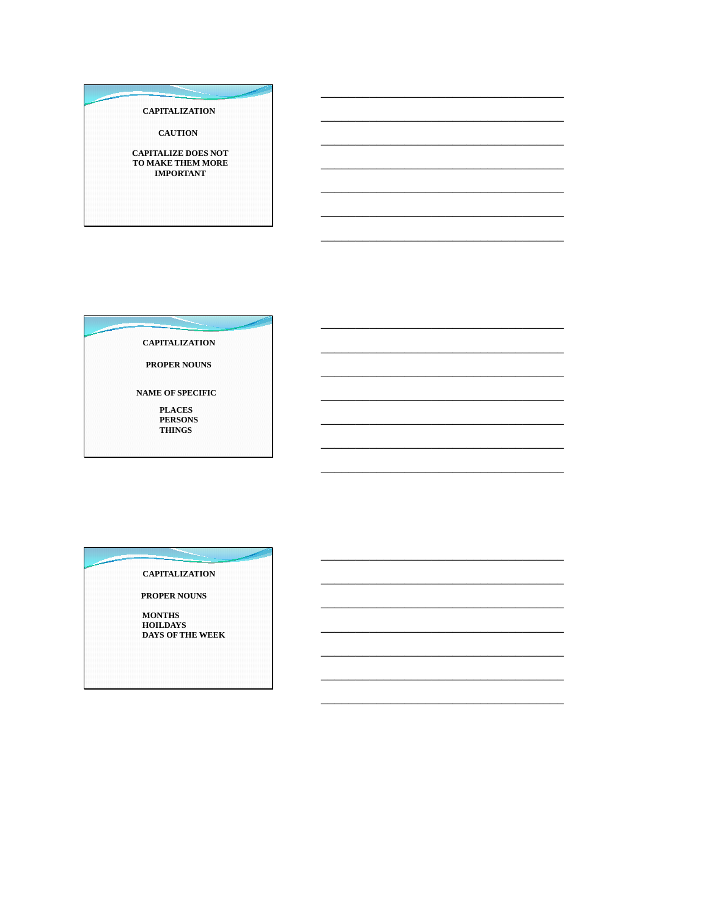**CAPITALIZATION** 

**CAUTION** 

**CAPITALIZE DOES NOT<br>TO MAKE THEM MORE<br>IMPORTANT** 

**CAPITALIZATION** 

PROPER NOUNS

NAME OF SPECIFIC

**PLACES** PERSONS<br>THINGS

**CAPITALIZATION** 

PROPER NOUNS

**MONTHS<br>HOILDAYS** DAYS OF THE WEEK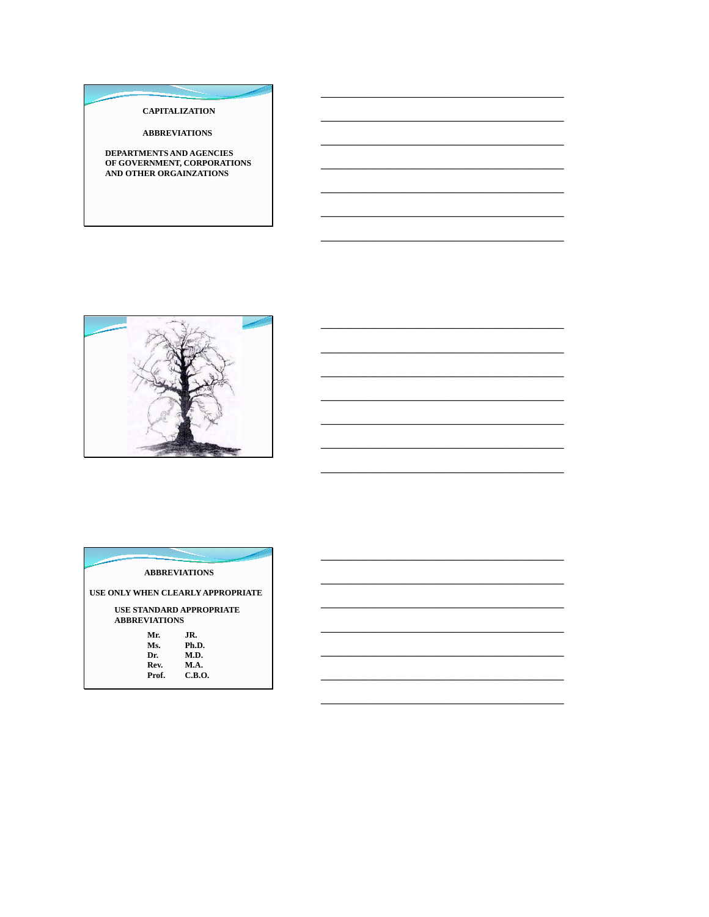#### **CAPITALIZATION**

**ABBREVIATIONS** 

DEPARTMENTS AND AGENCIES<br>OF GOVERNMENT, CORPORATIONS<br>AND OTHER ORGAINZATIONS



|                      | <b>ABBREVIATIONS</b>              |  |
|----------------------|-----------------------------------|--|
|                      | USE ONLY WHEN CLEARLY APPROPRIATE |  |
|                      | <b>USE STANDARD APPROPRIATE</b>   |  |
| <b>ABBREVIATIONS</b> |                                   |  |
| Mr.                  | JR.                               |  |
| Ms.                  | Ph.D.                             |  |
| Dr.                  | <b>M.D.</b>                       |  |
| Rev.                 | <b>M.A.</b>                       |  |
| Prof.                | C.B.O.                            |  |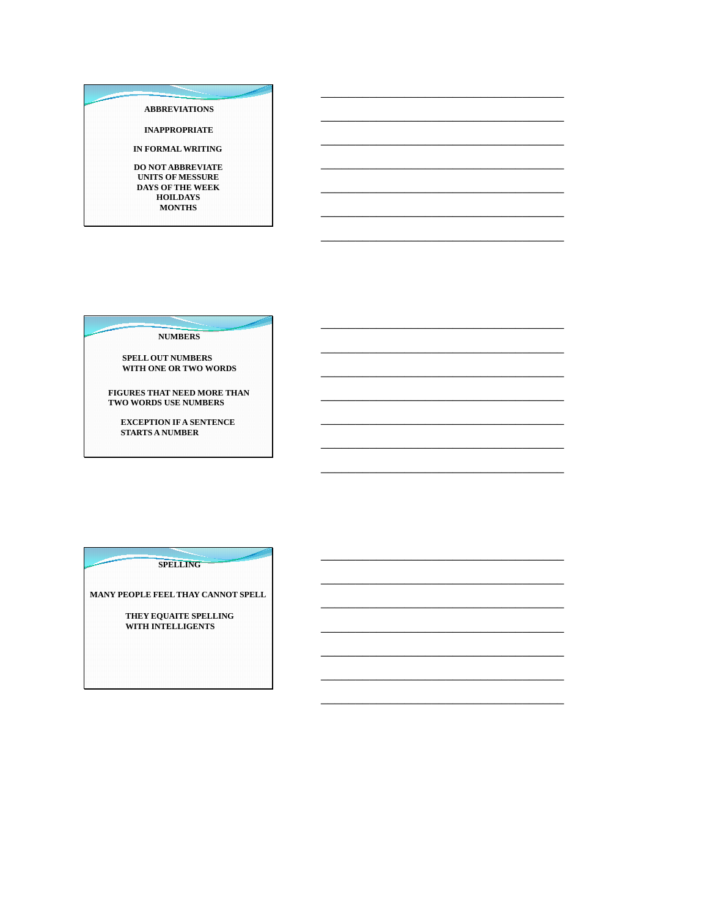#### **ABBREVIATIONS**

**INAPPROPRIATE** 

IN FORMAL WRITING

DO NOT ABBREVIATE UNITS OF MESSURE DAYS OF THE WEEK  $\bf HOLDAYS$ **MONTHS** 

**NUMBERS** 

SPELL OUT NUMBERS<br>WITH ONE OR TWO WORDS

FIGURES THAT NEED MORE THAN TWO WORDS USE NUMBERS

**EXCEPTION IF A SENTENCE STARTS A NUMBER** 

**SPELLING** 

MANY PEOPLE FEEL THAY CANNOT SPELL

THEY EQUAITE SPELLING WITH INTELLIGENTS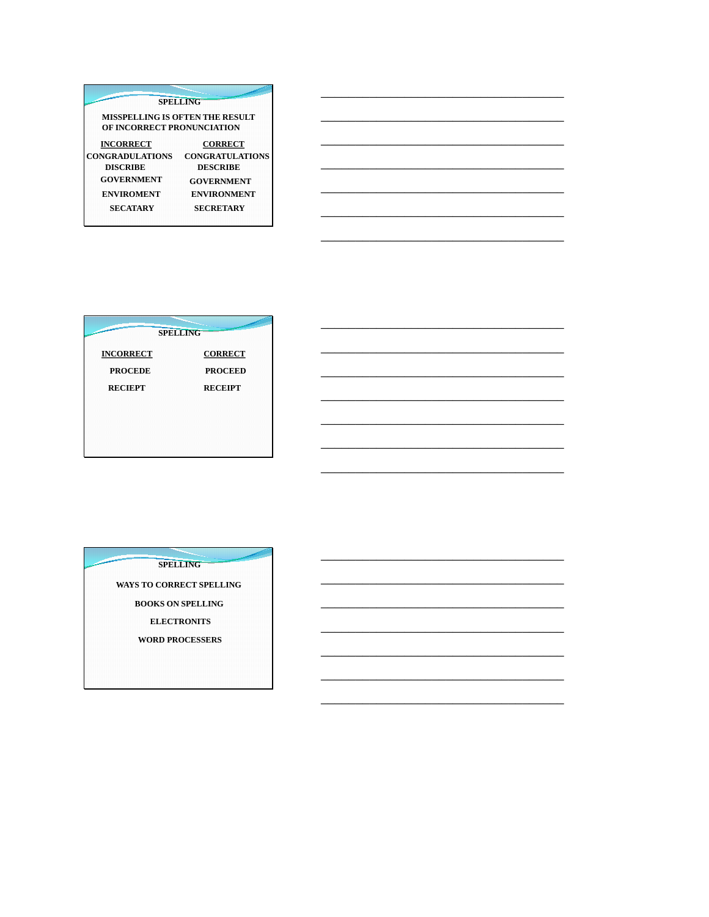| <b>SPELLING</b>                                               |                        |  |  |  |
|---------------------------------------------------------------|------------------------|--|--|--|
| MISSPELLING IS OFTEN THE RESULT<br>OF INCORRECT PRONUNCIATION |                        |  |  |  |
| <b>INCORRECT</b>                                              | <b>CORRECT</b>         |  |  |  |
| <b>CONGRADULATIONS</b>                                        | <b>CONGRATULATIONS</b> |  |  |  |
| <b>DISCRIBE</b>                                               | <b>DESCRIBE</b>        |  |  |  |
| GOVERNMENT                                                    | <b>GOVERNMENT</b>      |  |  |  |
| <b>ENVIROMENT</b>                                             | <b>ENVIRONMENT</b>     |  |  |  |
| <b>SECATARY</b>                                               | <b>SECRETARY</b>       |  |  |  |

|                  | <b>SPELLING</b> |
|------------------|-----------------|
| <b>INCORRECT</b> | <b>CORRECT</b>  |
| <b>PROCEDE</b>   | <b>PROCEED</b>  |
| <b>RECIEPT</b>   | <b>RECEIPT</b>  |
|                  |                 |
|                  |                 |
|                  |                 |

**SPELLING** 

WAYS TO CORRECT SPELLING **BOOKS ON SPELLING ELECTRONITS** WORD PROCESSERS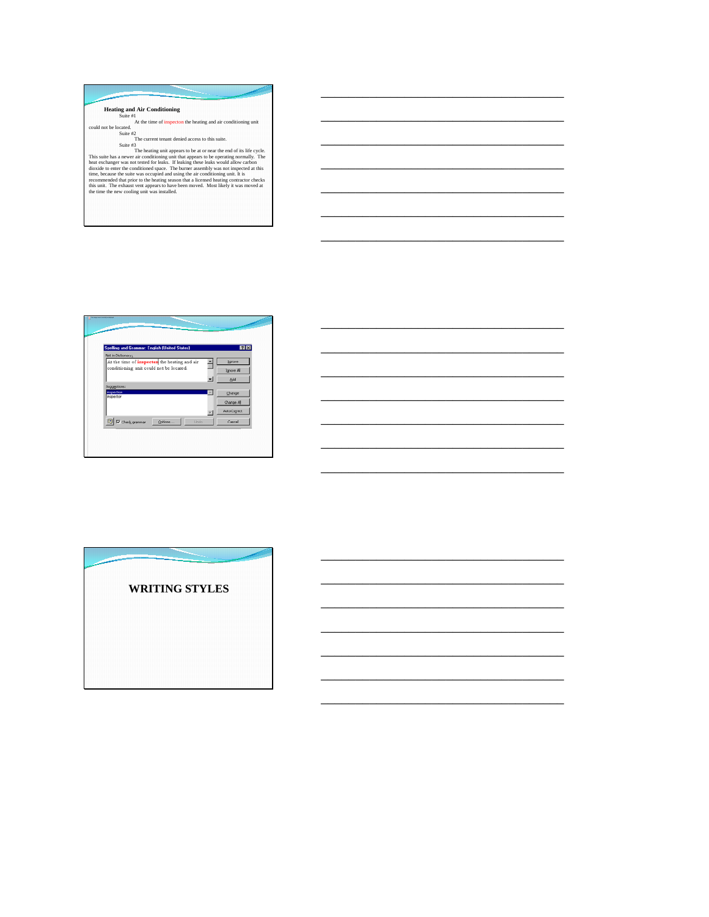**Heating and Air Conditioning**<br>
At the time of inspecton the heating and air conditioning unit<br>
could not be located.<br>
Suite #2<br>
The current tenant denied access to this suite.

\_\_\_\_\_\_\_\_\_\_\_\_\_\_\_\_\_\_\_\_\_\_\_\_\_\_\_\_\_\_\_\_\_\_\_

\_\_\_\_\_\_\_\_\_\_\_\_\_\_\_\_\_\_\_\_\_\_\_\_\_\_\_\_\_\_\_\_\_\_\_

\_\_\_\_\_\_\_\_\_\_\_\_\_\_\_\_\_\_\_\_\_\_\_\_\_\_\_\_\_\_\_\_\_\_\_

\_\_\_\_\_\_\_\_\_\_\_\_\_\_\_\_\_\_\_\_\_\_\_\_\_\_\_\_\_\_\_\_\_\_\_

\_\_\_\_\_\_\_\_\_\_\_\_\_\_\_\_\_\_\_\_\_\_\_\_\_\_\_\_\_\_\_\_\_\_\_

\_\_\_\_\_\_\_\_\_\_\_\_\_\_\_\_\_\_\_\_\_\_\_\_\_\_\_\_\_\_\_\_\_\_\_

\_\_\_\_\_\_\_\_\_\_\_\_\_\_\_\_\_\_\_\_\_\_\_\_\_\_\_\_\_\_\_\_\_\_\_

\_\_\_\_\_\_\_\_\_\_\_\_\_\_\_\_\_\_\_\_\_\_\_\_\_\_\_\_\_\_\_\_\_\_\_

\_\_\_\_\_\_\_\_\_\_\_\_\_\_\_\_\_\_\_\_\_\_\_\_\_\_\_\_\_\_\_\_\_\_\_

\_\_\_\_\_\_\_\_\_\_\_\_\_\_\_\_\_\_\_\_\_\_\_\_\_\_\_\_\_\_\_\_\_\_\_

\_\_\_\_\_\_\_\_\_\_\_\_\_\_\_\_\_\_\_\_\_\_\_\_\_\_\_\_\_\_\_\_\_\_\_

\_\_\_\_\_\_\_\_\_\_\_\_\_\_\_\_\_\_\_\_\_\_\_\_\_\_\_\_\_\_\_\_\_\_\_

\_\_\_\_\_\_\_\_\_\_\_\_\_\_\_\_\_\_\_\_\_\_\_\_\_\_\_\_\_\_\_\_\_\_\_

\_\_\_\_\_\_\_\_\_\_\_\_\_\_\_\_\_\_\_\_\_\_\_\_\_\_\_\_\_\_\_\_\_\_\_

Suite <sup>27</sup><br>The heating unit appears to be at or near the end of its life cycle.<br>This suite as a newer air conditioning unit that appears to be operating normally. The<br>heat exchanger was not tested for leaks. If leaking the



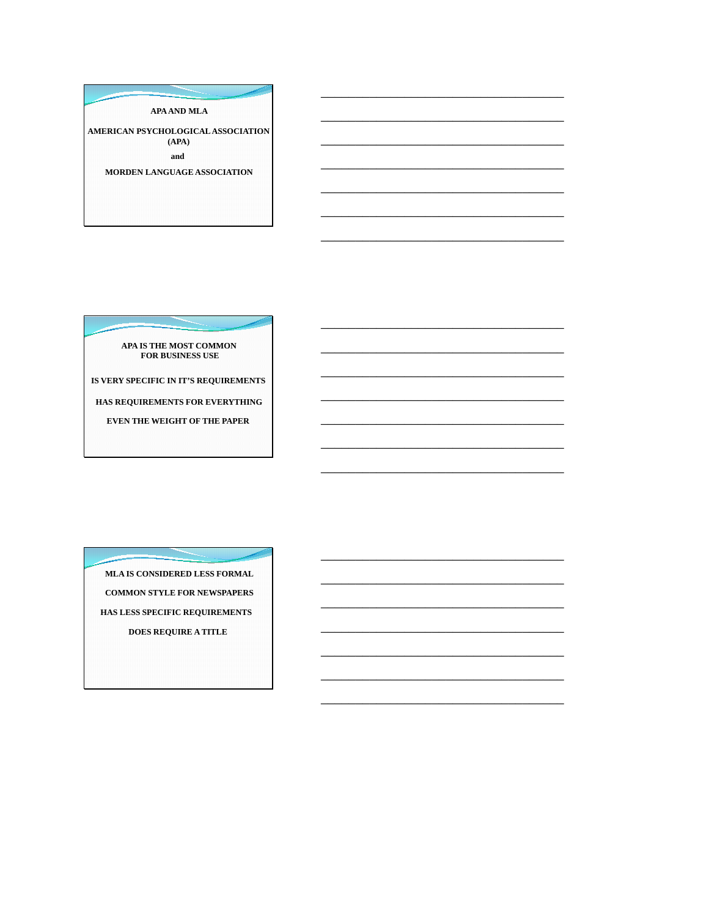APA AND MLA

AMERICAN PSYCHOLOGICAL ASSOCIATION  $(APA)$ and

MORDEN LANGUAGE ASSOCIATION

APA IS THE MOST COMMON FOR BUSINESS USE

IS VERY SPECIFIC IN IT'S REQUIREMENTS

HAS REQUIREMENTS FOR EVERYTHING

EVEN THE WEIGHT OF THE PAPER

MLA IS CONSIDERED LESS FORMAL **COMMON STYLE FOR NEWSPAPERS** HAS LESS SPECIFIC REQUIREMENTS DOES REQUIRE A TITLE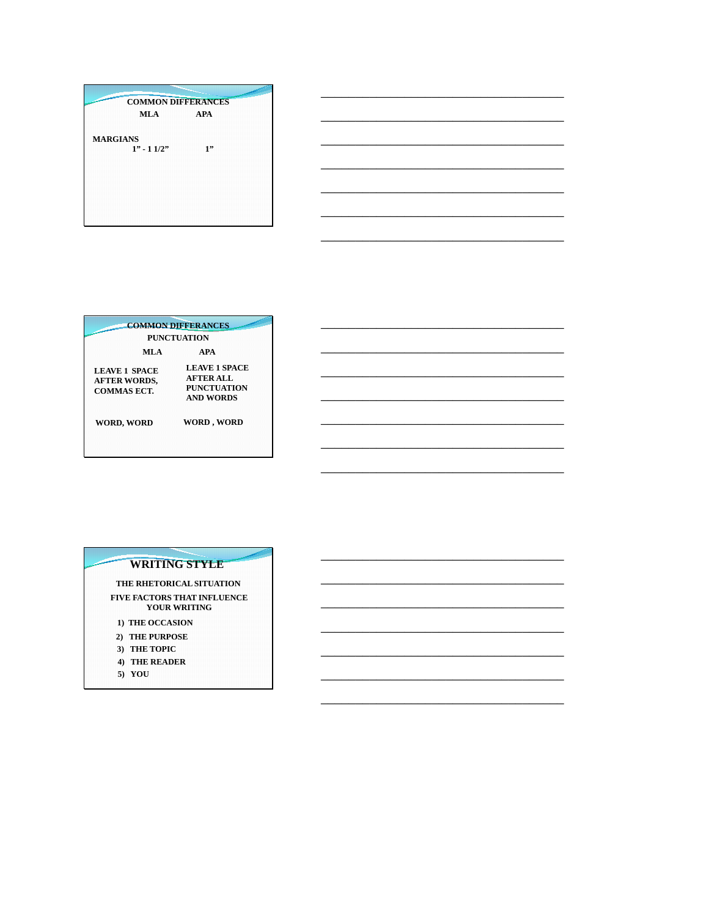**COMMON DIFFERANCES**  $MLA$ APA MARGIANS<br> $1" - 11/2"$  $1"$ 

| <b>COMMON DIFFERANCES</b>                                                          |
|------------------------------------------------------------------------------------|
|                                                                                    |
|                                                                                    |
| <b>LEAVE 1 SPACE</b><br><b>AFTER ALL</b><br><b>PUNCTUATION</b><br><b>AND WORDS</b> |
| WORD, WORD                                                                         |
|                                                                                    |

#### **WRITING STYLE**

THE RHETORICAL SITUATION FIVE FACTORS THAT INFLUENCE<br>YOUR WRITING

- 1) THE OCCASION
- 2) THE PURPOSE
- 3) THE TOPIC
- 4) THE READER
- 5) YOU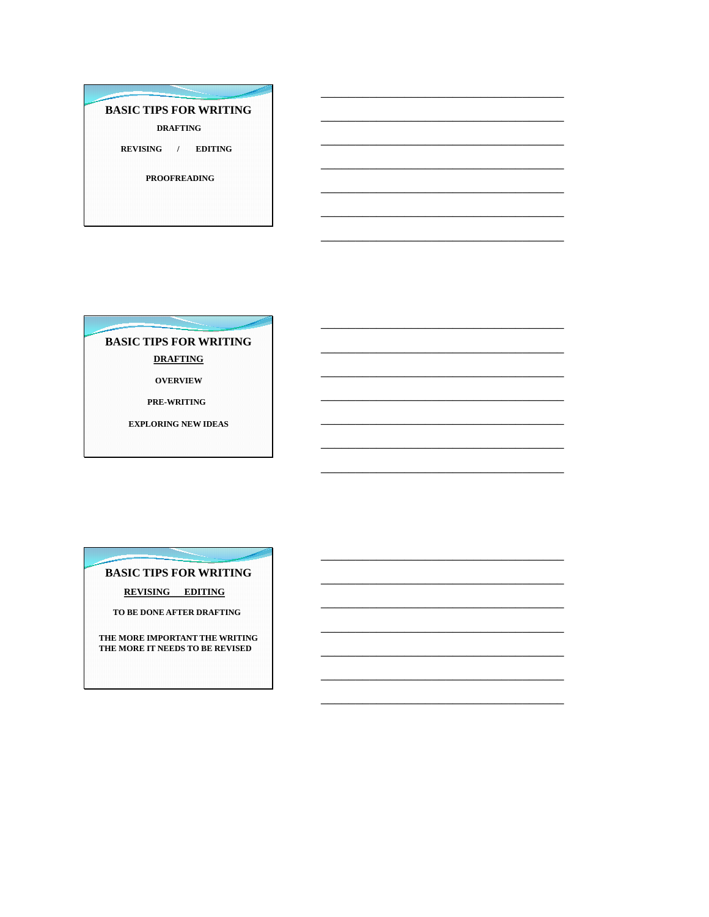# **BASIC TIPS FOR WRITING**

**DRAFTING** 

REVISING / EDITING

**PROOFREADING** 

**BASIC TIPS FOR WRITING DRAFTING** 

**OVERVIEW** 

**PRE-WRITING** 

**EXPLORING NEW IDEAS** 

## **BASIC TIPS FOR WRITING**

**REVISING EDITING** 

TO BE DONE AFTER DRAFTING

THE MORE IMPORTANT THE WRITING THE MORE IT NEEDS TO BE REVISED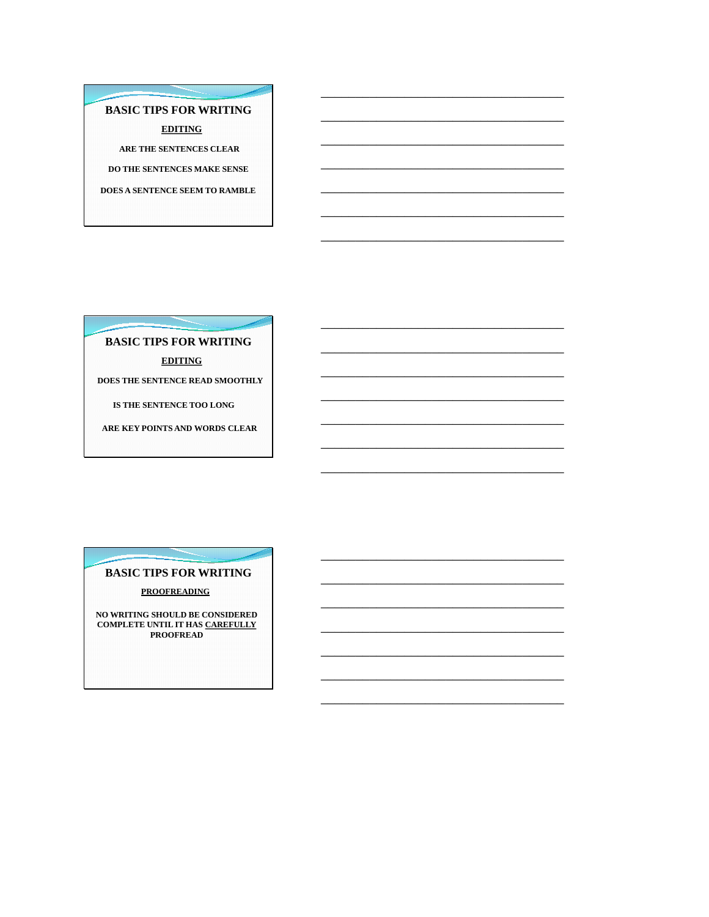**BASIC TIPS FOR WRITING EDITING** ARE THE SENTENCES CLEAR DO THE SENTENCES MAKE SENSE DOES A SENTENCE SEEM TO RAMBLE

**BASIC TIPS FOR WRITING EDITING** 

DOES THE SENTENCE READ SMOOTHLY

IS THE SENTENCE TOO LONG

ARE KEY POINTS AND WORDS CLEAR

**BASIC TIPS FOR WRITING PROOFREADING** 

NO WRITING SHOULD BE CONSIDERED **COMPLETE UNTIL IT HAS CAREFULLY<br>PROOFREAD**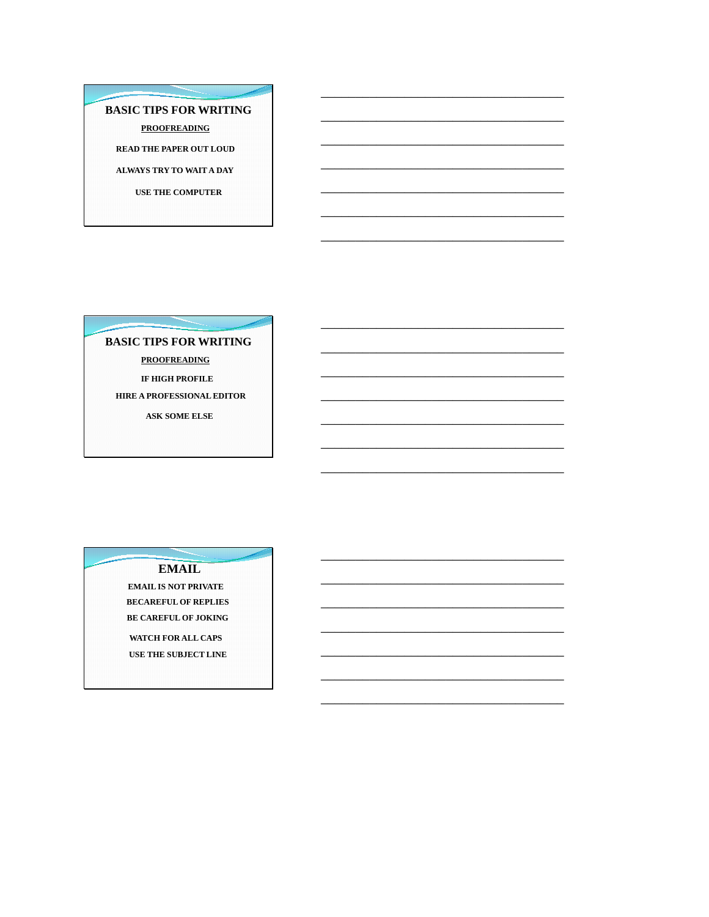**BASIC TIPS FOR WRITING PROOFREADING READ THE PAPER OUT LOUD** ALWAYS TRY TO WAIT A DAY **USE THE COMPUTER** 

**BASIC TIPS FOR WRITING PROOFREADING** IF HIGH PROFILE HIRE A PROFESSIONAL EDITOR ASK SOME ELSE

**EMAIL** 

**EMAIL IS NOT PRIVATE BECAREFUL OF REPLIES** BE CAREFUL OF JOKING WATCH FOR ALL CAPS USE THE SUBJECT LINE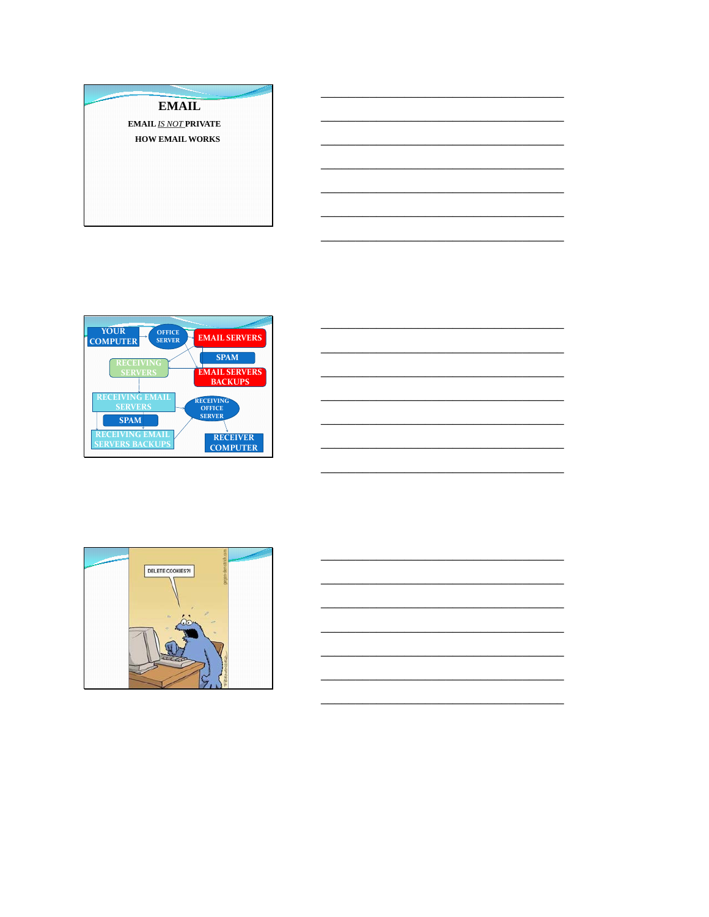





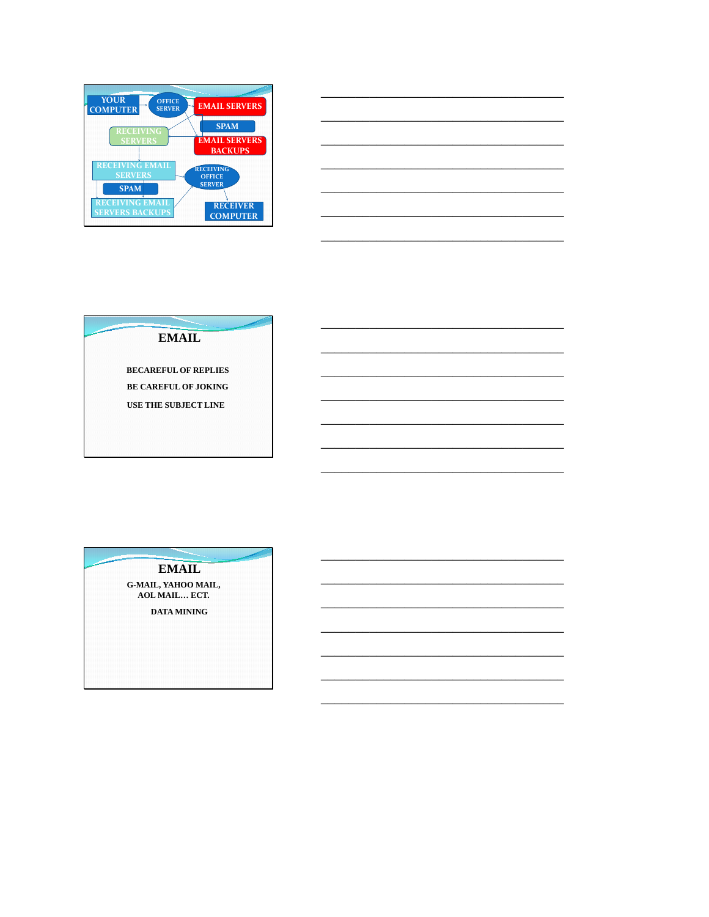

### **EMAIL**

**BECAREFUL OF REPLIES BE CAREFUL OF JOKING** USE THE SUBJECT LINE

**EMAIL** G-MAIL, YAHOO MAIL,<br>AOL MAIL... ECT. DATA MINING